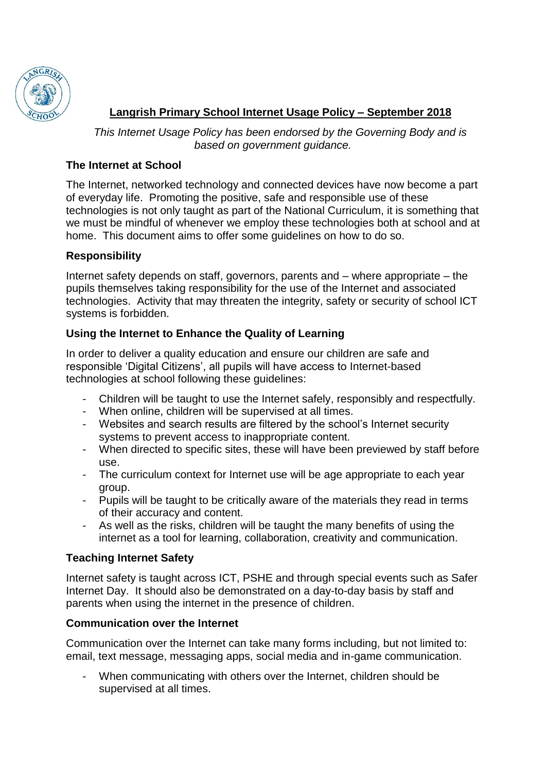

# **Langrish Primary School Internet Usage Policy – September 2018**

*This Internet Usage Policy has been endorsed by the Governing Body and is based on government guidance.*

#### **The Internet at School**

The Internet, networked technology and connected devices have now become a part of everyday life. Promoting the positive, safe and responsible use of these technologies is not only taught as part of the National Curriculum, it is something that we must be mindful of whenever we employ these technologies both at school and at home. This document aims to offer some guidelines on how to do so.

## **Responsibility**

Internet safety depends on staff, governors, parents and – where appropriate – the pupils themselves taking responsibility for the use of the Internet and associated technologies. Activity that may threaten the integrity, safety or security of school ICT systems is forbidden.

## **Using the Internet to Enhance the Quality of Learning**

In order to deliver a quality education and ensure our children are safe and responsible 'Digital Citizens', all pupils will have access to Internet-based technologies at school following these guidelines:

- Children will be taught to use the Internet safely, responsibly and respectfully.
- When online, children will be supervised at all times.
- Websites and search results are filtered by the school's Internet security systems to prevent access to inappropriate content.
- When directed to specific sites, these will have been previewed by staff before use.
- The curriculum context for Internet use will be age appropriate to each year group.
- Pupils will be taught to be critically aware of the materials they read in terms of their accuracy and content.
- As well as the risks, children will be taught the many benefits of using the internet as a tool for learning, collaboration, creativity and communication.

## **Teaching Internet Safety**

Internet safety is taught across ICT, PSHE and through special events such as Safer Internet Day. It should also be demonstrated on a day-to-day basis by staff and parents when using the internet in the presence of children.

## **Communication over the Internet**

Communication over the Internet can take many forms including, but not limited to: email, text message, messaging apps, social media and in-game communication.

When communicating with others over the Internet, children should be supervised at all times.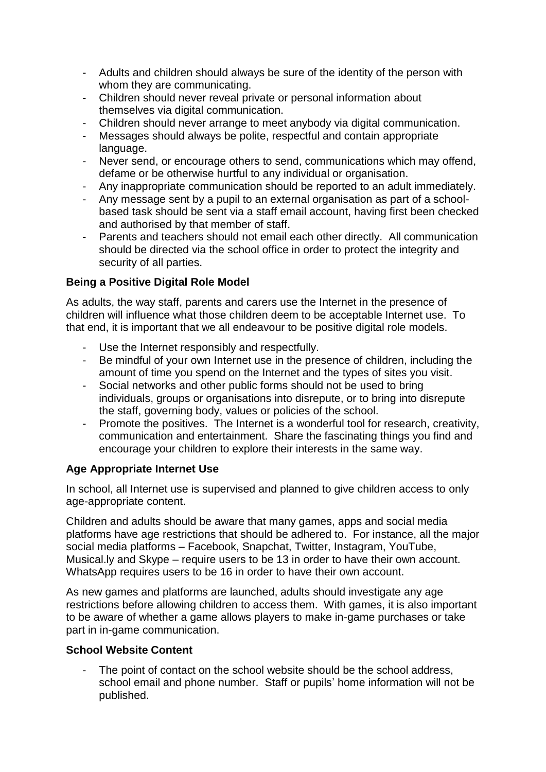- Adults and children should always be sure of the identity of the person with whom they are communicating.
- Children should never reveal private or personal information about themselves via digital communication.
- Children should never arrange to meet anybody via digital communication.
- Messages should always be polite, respectful and contain appropriate language.
- Never send, or encourage others to send, communications which may offend, defame or be otherwise hurtful to any individual or organisation.
- Any inappropriate communication should be reported to an adult immediately.
- Any message sent by a pupil to an external organisation as part of a schoolbased task should be sent via a staff email account, having first been checked and authorised by that member of staff.
- Parents and teachers should not email each other directly. All communication should be directed via the school office in order to protect the integrity and security of all parties.

# **Being a Positive Digital Role Model**

As adults, the way staff, parents and carers use the Internet in the presence of children will influence what those children deem to be acceptable Internet use. To that end, it is important that we all endeavour to be positive digital role models.

- Use the Internet responsibly and respectfully.
- Be mindful of your own Internet use in the presence of children, including the amount of time you spend on the Internet and the types of sites you visit.
- Social networks and other public forms should not be used to bring individuals, groups or organisations into disrepute, or to bring into disrepute the staff, governing body, values or policies of the school.
- Promote the positives. The Internet is a wonderful tool for research, creativity, communication and entertainment. Share the fascinating things you find and encourage your children to explore their interests in the same way.

# **Age Appropriate Internet Use**

In school, all Internet use is supervised and planned to give children access to only age-appropriate content.

Children and adults should be aware that many games, apps and social media platforms have age restrictions that should be adhered to. For instance, all the major social media platforms – Facebook, Snapchat, Twitter, Instagram, YouTube, Musical.ly and Skype – require users to be 13 in order to have their own account. WhatsApp requires users to be 16 in order to have their own account.

As new games and platforms are launched, adults should investigate any age restrictions before allowing children to access them. With games, it is also important to be aware of whether a game allows players to make in-game purchases or take part in in-game communication.

# **School Website Content**

The point of contact on the school website should be the school address, school email and phone number. Staff or pupils' home information will not be published.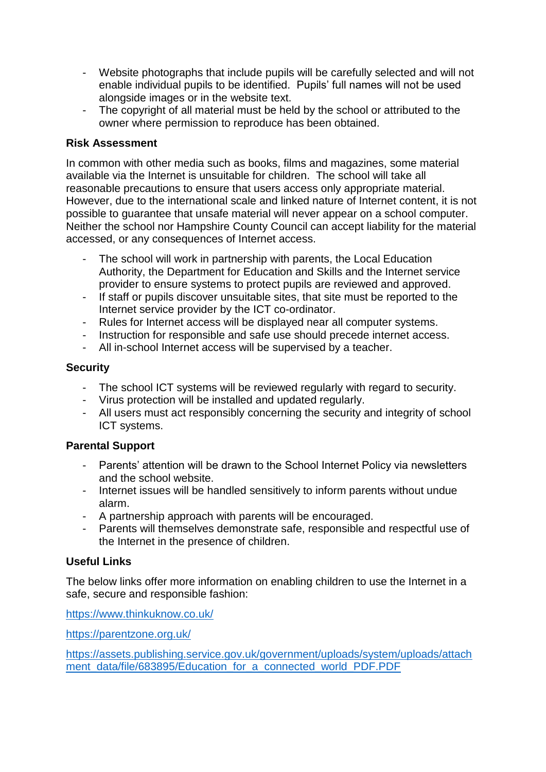- Website photographs that include pupils will be carefully selected and will not enable individual pupils to be identified. Pupils' full names will not be used alongside images or in the website text.
- The copyright of all material must be held by the school or attributed to the owner where permission to reproduce has been obtained.

#### **Risk Assessment**

In common with other media such as books, films and magazines, some material available via the Internet is unsuitable for children. The school will take all reasonable precautions to ensure that users access only appropriate material. However, due to the international scale and linked nature of Internet content, it is not possible to guarantee that unsafe material will never appear on a school computer. Neither the school nor Hampshire County Council can accept liability for the material accessed, or any consequences of Internet access.

- The school will work in partnership with parents, the Local Education Authority, the Department for Education and Skills and the Internet service provider to ensure systems to protect pupils are reviewed and approved.
- If staff or pupils discover unsuitable sites, that site must be reported to the Internet service provider by the ICT co-ordinator.
- Rules for Internet access will be displayed near all computer systems.
- Instruction for responsible and safe use should precede internet access.
- All in-school Internet access will be supervised by a teacher.

#### **Security**

- The school ICT systems will be reviewed regularly with regard to security.
- Virus protection will be installed and updated regularly.
- All users must act responsibly concerning the security and integrity of school ICT systems.

## **Parental Support**

- Parents' attention will be drawn to the School Internet Policy via newsletters and the school website.
- Internet issues will be handled sensitively to inform parents without undue alarm.
- A partnership approach with parents will be encouraged.
- Parents will themselves demonstrate safe, responsible and respectful use of the Internet in the presence of children.

## **Useful Links**

The below links offer more information on enabling children to use the Internet in a safe, secure and responsible fashion:

<https://www.thinkuknow.co.uk/>

<https://parentzone.org.uk/>

[https://assets.publishing.service.gov.uk/government/uploads/system/uploads/attach](https://assets.publishing.service.gov.uk/government/uploads/system/uploads/attachment_data/file/683895/Education_for_a_connected_world_PDF.PDF) [ment\\_data/file/683895/Education\\_for\\_a\\_connected\\_world\\_PDF.PDF](https://assets.publishing.service.gov.uk/government/uploads/system/uploads/attachment_data/file/683895/Education_for_a_connected_world_PDF.PDF)